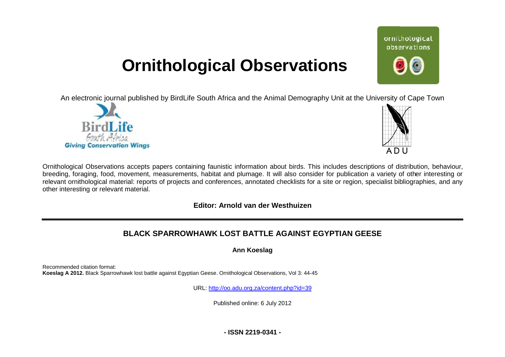## **Ornithological Observations**

An electronic journal published by BirdLife South Africa and the Animal Demography Unit at the University of Cape Town





ornithological observations

Ornithological Observations accepts papers containing faunistic information about birds. This includes descriptions of distribution, behaviour, breeding, foraging, food, movement, measurements, habitat and plumage. It will also consider for publication a variety of other interesting or relevant ornithological material: reports of projects and conferences, annotated checklists for a site or region, specialist bibliographies, and any other interesting or relevant material.

## **Editor: Arnold van der Westhuizen**

## **BLACK SPARROWHAWK LO LOST BATTLE AGAINST EGYPTIAN GEESE**

**Ann Koeslag** 

Recommended citation format: Koeslag A 2012. Black Sparrowhawk lost battle against Egyptian Geese. Ornithological Observations, Vol 3: 44-45

URL: <http://oo.adu.org.za/content.php?id=39>

Published online: 6 July 2012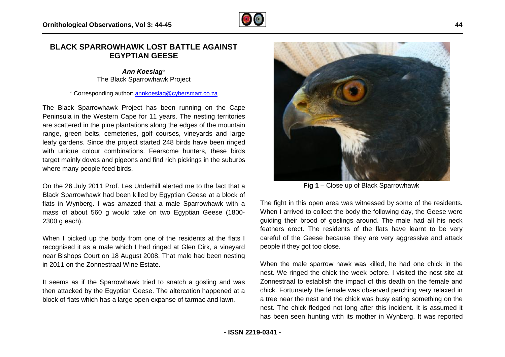## **BLACK SPARROWHAWK LOST BATTLE AGAINST EGYPTIAN GEESE**

*Ann Koeslag\** The Black Sparrowhawk Project

\* Corresponding author: [annkoeslag@cybersmart.co.za](mailto:annkoeslag@cybersmart.co.za)

The Black Sparrowhawk Project has been running on the Cape Peninsula in the Western Cape for 11 years. The nesting territories are scattered in the pine plantations along the edges of the mountain range, green belts, cemeteries, golf courses, vineyards and large leafy gardens. Since the project started 248 birds have been ringed with unique colour combinations. Fearsome hunters, these birds target mainly doves and pigeons and find rich pickings in the suburbs where many people feed birds. s, golf courses, vineyards and large<br>ct started 248 birds have been ringed<br>ons. Fearsome hunters, these birds<br>is and find rich pickings in the suburbs<br>Underhill alerted me to the fact that a<br>killed by Egyptian Geese at a b

On the 26 July 2011 Prof. Les Underhill alerted me to the fact that a Black Sparrowhawk had been killed by Egyptian Geese at a block of flats in Wynberg. I was amazed that a male Sparrowhawk with a mass of about 560 g would take on two Egyptian Geese (1800-2300 g each).

When I picked up the body from one of the residents at the flats I recognised it as a male which I had ringed at Glen Dirk, a vineyard near Bishops Court on 18 August 2008. That male had been nesting in 2011 on the Zonnestraal Wine Estate.

It seems as if the Sparrowhawk tried to snatch a gosling and was then attacked by the Egyptian Geese. The altercation happened at a block of flats which has a large open expanse of tarmac and lawn.



**Fig 1** – Close up of Black Sparrowhawk

The fight in this open area was witnessed by some of the residents. When I arrived to collect the body the following day, the Geese were guiding their brood of goslings around. The male had all his neck feathers erect. The residents of the flats have learnt to be very careful of the Geese because they are very aggressive and attack people if they got too close.

When the male sparrow hawk was killed, he had one chick in the nest. We ringed the chick the week before. I visited the nest site at Zonnestraal to establish the impact of this death on the female and chick. Fortunately the female was observed perching very relaxed in a tree near the nest and the chick was busy eating something on the nest. The chick fledged not long after this incident. It is assumed it has been seen hunting with its mother in Wynberg. It was reported